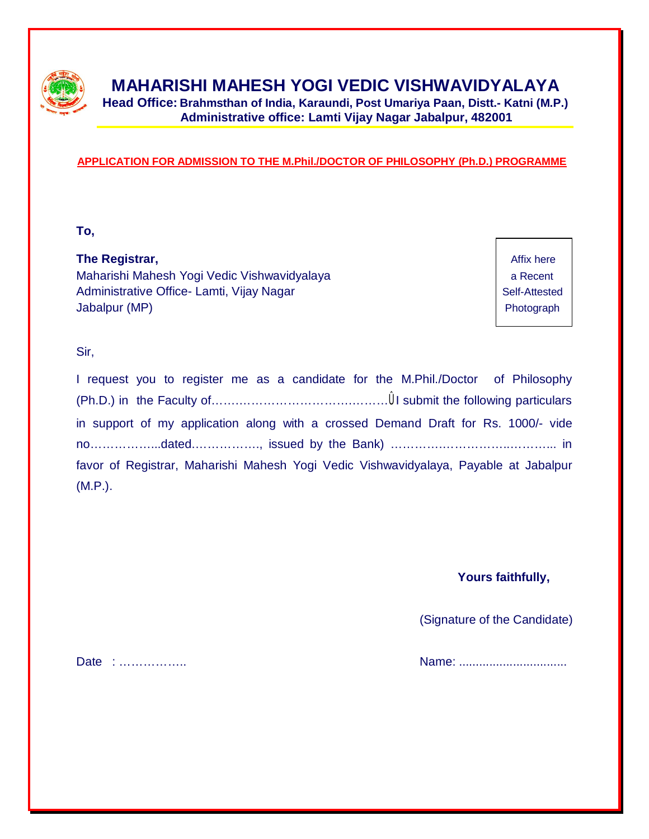

# **MAHARISHI MAHESH YOGI VEDIC VISHWAVIDYALAYA**

**Head Office: Brahmsthan of India, Karaundi, Post Umariya Paan, Distt.- Katni (M.P.) Administrative office: Lamti Vijay Nagar Jabalpur, 482001**

#### **APPLICATION FOR ADMISSION TO THE M.Phil./DOCTOR OF PHILOSOPHY (Ph.D.) PROGRAMME**

**To,**

**The Registrar,** Affix here **Affix** here **Affix** here **Affix** here **Affix** here Maharishi Mahesh Yogi Vedic Vishwavidyalaya **a Recent** a Recent Administrative Office- Lamti, Vijay Nagar Nagar Self-Attested Jabalpur (MP) **Photograph** 

Sir,

| I request you to register me as a candidate for the M.Phil./Doctor of Philosophy     |  |  |
|--------------------------------------------------------------------------------------|--|--|
|                                                                                      |  |  |
| in support of my application along with a crossed Demand Draft for Rs. 1000/- vide   |  |  |
|                                                                                      |  |  |
| favor of Registrar, Maharishi Mahesh Yogi Vedic Vishwavidyalaya, Payable at Jabalpur |  |  |
| $(M.P.)$ .                                                                           |  |  |

**Yours faithfully,**

(Signature of the Candidate)

Date : …………….. Name: ................................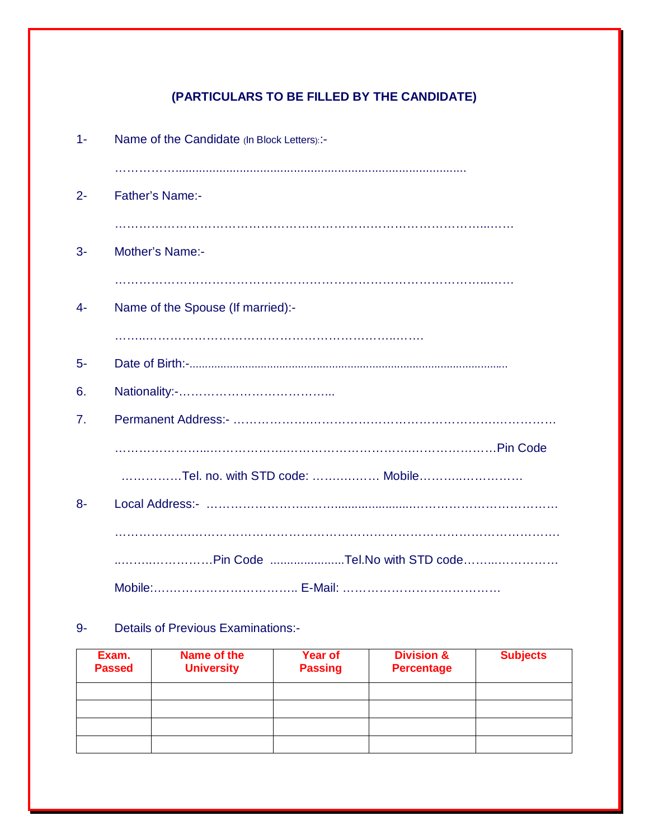# **(PARTICULARS TO BE FILLED BY THE CANDIDATE)**

| $1 -$ | Name of the Candidate (In Block Letters): :- |
|-------|----------------------------------------------|
| $2 -$ | <b>Father's Name:-</b>                       |
| $3-$  | <b>Mother's Name:-</b>                       |
|       |                                              |
| $4-$  | Name of the Spouse (If married):-            |
|       |                                              |
| $5-$  |                                              |
| 6.    |                                              |
| 7.    |                                              |
|       |                                              |
|       | Tel. no. with STD code:  Mobile              |
| $8-$  |                                              |
|       |                                              |
|       | Pin Code Tel.No with STD code                |
|       |                                              |

### 9- Details of Previous Examinations:-

| Exam.<br><b>Passed</b> | Name of the<br><b>University</b> | Year of<br><b>Passing</b> | <b>Division &amp;</b><br><b>Percentage</b> | <b>Subjects</b> |
|------------------------|----------------------------------|---------------------------|--------------------------------------------|-----------------|
|                        |                                  |                           |                                            |                 |
|                        |                                  |                           |                                            |                 |
|                        |                                  |                           |                                            |                 |
|                        |                                  |                           |                                            |                 |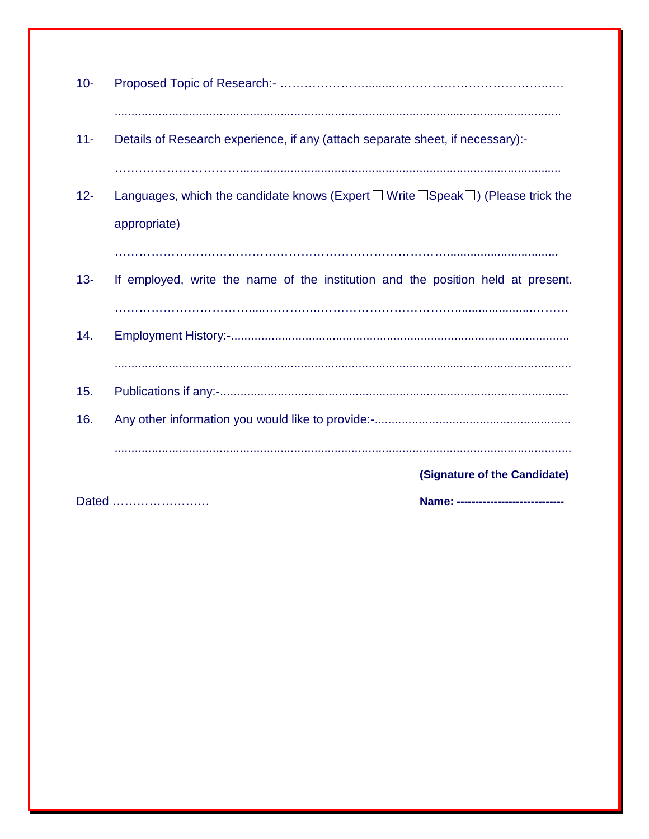| $10 -$ |                                                                                                                   |
|--------|-------------------------------------------------------------------------------------------------------------------|
| $11 -$ | Details of Research experience, if any (attach separate sheet, if necessary):-                                    |
| $12 -$ | Languages, which the candidate knows (Expert $\Box$ Write $\Box$ Speak $\Box$ ) (Please trick the<br>appropriate) |
| $13 -$ | If employed, write the name of the institution and the position held at present.                                  |
|        |                                                                                                                   |
| 14.    |                                                                                                                   |
| 15.    |                                                                                                                   |
| 16.    |                                                                                                                   |
|        |                                                                                                                   |
|        | (Signature of the Candidate)                                                                                      |
|        | Dated<br>Name: ----------------------------                                                                       |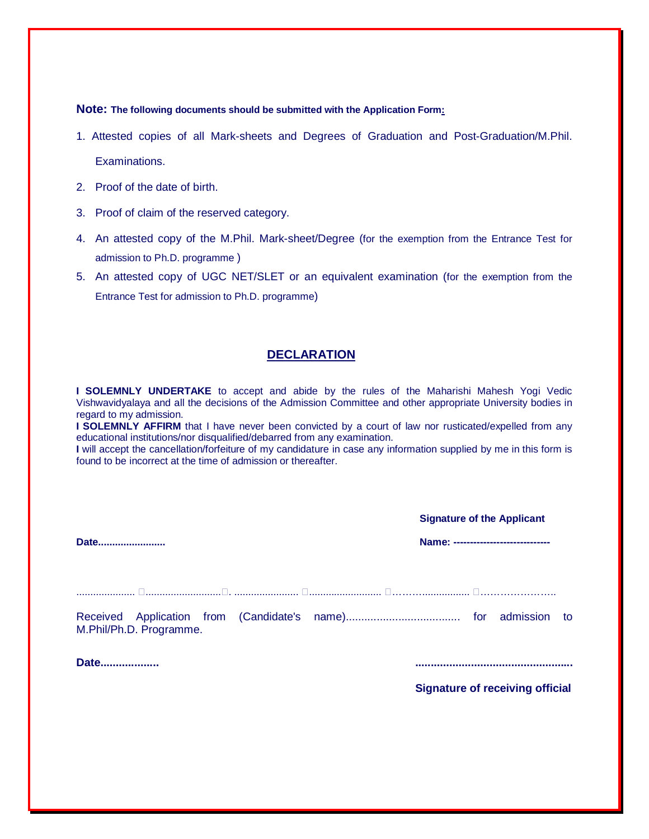#### **Note: The following documents should be submitted with the Application Form:**

- 1. Attested copies of all Mark-sheets and Degrees of Graduation and Post-Graduation/M.Phil. Examinations.
- 2. Proof of the date of birth.
- 3. Proof of claim of the reserved category.
- 4. An attested copy of the M.Phil. Mark-sheet/Degree (for the exemption from the Entrance Test for admission to Ph.D. programme )
- 5. An attested copy of UGC NET/SLET or an equivalent examination (for the exemption from the Entrance Test for admission to Ph.D. programme)

#### **DECLARATION**

**I SOLEMNLY UNDERTAKE** to accept and abide by the rules of the Maharishi Mahesh Yogi Vedic Vishwavidyalaya and all the decisions of the Admission Committee and other appropriate University bodies in regard to my admission.

**I SOLEMNLY AFFIRM** that I have never been convicted by a court of law nor rusticated/expelled from any educational institutions/nor disqualified/debarred from any examination.

**I** will accept the cancellation/forfeiture of my candidature in case any information supplied by me in this form is found to be incorrect at the time of admission or thereafter.

|                                 | <b>Signature of the Applicant</b>                                                                                                                                                                                                    |  |  |  |
|---------------------------------|--------------------------------------------------------------------------------------------------------------------------------------------------------------------------------------------------------------------------------------|--|--|--|
| Date                            | Name: -----------------------------                                                                                                                                                                                                  |  |  |  |
|                                 |                                                                                                                                                                                                                                      |  |  |  |
| M.Phil/Ph.D. Programme.<br>Date |                                                                                                                                                                                                                                      |  |  |  |
|                                 | <u>and the second contract and the second contract of the second contract of the second contract of the second contract of the second contract of the second contract of the second contract of the second contract of the secon</u> |  |  |  |

**Signature of receiving official**